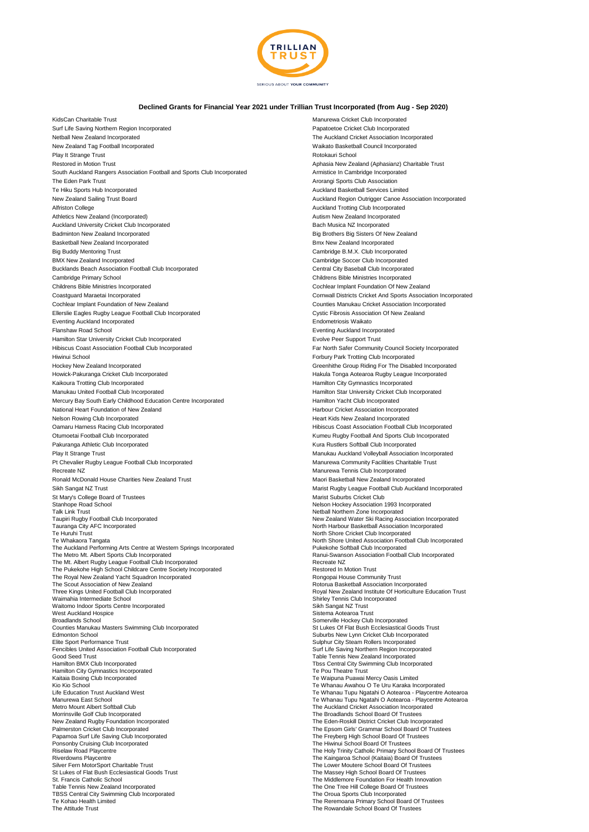

## **Declined Grants for Financial Year 2021 under Trillian Trust Incorporated (from Aug - Sep 2020)**

KidsCan Charitable Trust Manurewa Cricket Club Incorporated Surf Life Saving Northern Region Incorporated Papatoetoe Cricket Club Incorporated Netball New Zealand Incorporated The Auckland Cricket Association Incorporated New Zealand Tag Football Incorporated Waikato Basketball Council Incorporated Play It Strange Trust Rotokauri School Restored in Motion Trust **Aphasia New Zealand (Aphasianz) Charitable Trust** Aphasia New Zealand (Aphasianz) Charitable Trust South Auckland Rangers Association Football and Sports Club Incorporated **Armistice In Cambridge Incorporated** The Eden Park Trust Arorangi Sports Club Association Arorangi Sports Club Association Te Hiku Sports Hub Incorporated Auckland Basketball Services Limited New Zealand Sailing Trust Board **Auckland Region Outrigger Canoe Association Incorporated** Auckland Region Outrigger Canoe Association Incorporated Alfriston College **Auckland Trotting Club Incorporated** Auckland Trotting Club Incorporated Athletics New Zealand (Incorporated) Autism New Zealand Incorporated Auckland University Cricket Club Incorporated **Bach Australian Critics** Bach Musica NZ Incorporated Badminton New Zealand Incorporated **Big Brothers Big Sisters Of New Zealand** Big Brothers Big Sisters Of New Zealand Basketball New Zealand Incorporated **Business Control Control Control Control Control Control Control Control Control Control Control Control Control Control Control Control Control Control Control Control Control Control** Big Buddy Mentoring Trust Cambridge B.M.X. Club Incorporated BMX New Zealand Incorporated **Cambridge Soccer Club Incorporated** Cambridge Soccer Club Incorporated Bucklands Beach Association Football Club Incorporated Central City Baseball Club Incorporated Central City Baseball Club Incorporated Cambridge Primary School Childrens Bible Ministries Incorporated Childrens Bible Ministries Incorporated Cochlear Implant Foundation Of New Zealand Coastguard Maraetai Incorporated Cornwall Districts Cricket And Sports Association Incorporated Cochlear Implant Foundation of New Zealand Counties Manukau Cricket Association Incorporated Ellerslie Eagles Rugby League Football Club Incorporated Cystic Fibrosis Association Of New Zealand Eventing Auckland Incorporated Endometriosis Waikato Flanshaw Road School Eventing Auckland Incorporated Hamilton Star University Cricket Club Incorporated Evolve Peer Support Trust Hibiscus Coast Association Football Club Incorporated Far North Safer Community Council Society Incorporated Far North Safer Community Council Society Incorporated Hiwinui School **Forbury Park Trotting Club Incorporated** Forbury Park Trotting Club Incorporated<br>Hockey New Zealand Incorporated **For a strong Club Incorporated** Greenhithe Group Riding For The Disabl Hockey New Zealand Incorporated and Exercise of the Disabled Incorporated Greenhithe Group Riding For The Disabled Incorporated<br>Howick-Pakuranga Cricket Club Incorporated and Exercise of the State of the Makula Tonga Aotea Kaikoura Trotting Club Incorporated **Hamilton City Gymnastics Incorporated** Hamilton City Gymnastics Incorporated Manukau United Football Club Incorporated **Hamilton Star University Cricket Club Incorporated** Hamilton Star University Cricket Club Incorporated Mercury Bay South Early Childhood Education Centre Incorporated Hamilton Yacht Club Incorporated National Heart Foundation of New Zealand New Association Incorporated<br>Nelson Rowing Club Incorporated New Zealand Incorporated Heart Kids New Zealand Incorporated Oamaru Harness Racing Club Incorporated **Accord Club Incorporated** Hibiscus Coast Association Football Club Incorporated Otumoetai Football Club Incorporated **Kumeu Rugby Football And Sports Club Incorporated** Club Incorporated Club Incorporated Pakuranga Athletic Club Incorporated Kura Rustlers Softball Club Incorporated Play It Strange Trust Manukau Auckland Volleyball Association Incorporated Pt Chevalier Rugby League Football Club Incorporated Manurewa Community Facilities Charitable Trust Recreate NZ<br>Ronald McDonald House Charities New Zealand Trust New York New York New York New York New Zealand Incorporated<br>Maori Basketball New Zealand Incorporated Ronald McDonald House Charities New Zealand Trust Sikh Sangat NZ Trust Marist Rugby League Football Club Auckland Incorporated St Mary's College Board of Trustees and the State of Trustees Marist Suburbs Cricket Club<br>
Stanhope Road School<br>
Melson Hockey Association Stanhope Road School **Nelson Hockey Association 1993 Incorporated**<br>Talk Link Trust **Nethall Northern Zone Incorporated** Talk Link Trust Netball Northern Zone Incorporated<br>Taupiri Rugby Football Club Incorporated New Zealand Water Ski Racing Association Incorporated Tauranga City AFC Incorporated in the State of the North Harbour Basketball Association Incorporated<br>Te Huruhi Trust Trust Te Huruhi Trust<br>
Te Huruhi Trust<br>
Te Whakaora Tangata<br>
Te Whakaora Tangata<br>
Te Whakaora Tangata The Auckland Performing Arts Centre at Western Springs Incorporated Pukekohe Softball Club Incorporated<br>The Metro Mt. Albert Sports Club Incorporated Ranui-Swanson Association Football Clu The Mt. Albert Rugby League Football Club Incorporated and the Mt. Albert Recreate NZ<br>The Pukekohe High School Childcare Centre Society Incorporated Albert Restored In Motion Trust The Pukekohe High School Childcare Centre Society Incorporated<br>
The Royal New Zealand Yacht Squadron Incorporated **Restore Community Trust** Rongopai House Community Trust The Royal New Zealand Yacht Squadron Incorporated The Rongopai House Community Trust<br>The Scout Association of New Zealand The Scout Association of New Zealand<br>Three Kings United Football Club Incorporated Three Kings United Football Club Incorporated Club Incorporated Royal New Zealand Institute Of Horticulture Education Trust<br>
Waimahia Intermediate School Club Incorporated Royal New Zealand Institute Of Horticulture Educat Waitomo Indoor Sports Centre Incorporated<br>West Auckland Hospice Waitomo Indoor Sports Centre Incorporated<br>West Auckland Hospice Sistema Aotearoa Trust<br>Broadlands School (Club Somerville Hockey Club Broadlands School Somerville Hockey Club Incorporated<br>Counties Manukau Masters Swimming Club Incorporated Studies of Elat Bush Ecclesiastical ( Counties Manukau Masters Swimming Club Incorporated Counties Counties Manukau Masters Swimming Club Incorporated St Lukes Of Flat Bush Ecclesiastical Goods Trust<br>Edmonton School Counties Annual Club Incorporated Suburbs Ne Elite Sport Performance Trust Sulphur City Steam Rollers Incorporated Fencibles United Association Football Club Incorporated Surf Life Saving Northern Region Incorporated Good Seed Trust Table Tennis New Zealand Incorporated<br>Hamilton BMX Club Incorporated The Tennis New Zealand Incorporated The Tennis New Zealand Incorporated Hamilton City Gymnastics Incorporated<br>Kaitaia Boxing Club Incorporated - Annan Dianus Companies and the Marian Companies of the Waipuna Puawai Mercy Oasis Limited<br>Te Waipuna Puawai Mercy Oasis Limited<br>Te Whanau Awahou O Te Uru Karaka Inc Kio Kio School Te Uru Karaka Incorporated<br>
Kio Kio School Te Uru Karaka Incorporated<br>
Life Education Trust Auckland West Te Whanau Tupu Ngatahi O Aotearoa - Playcentre Manurewa East School<br>Metro Mount Albert Softball Club Te Music and Te Whanau Tupu Ngatahi O Aotearoa - Playcentre Aotearoa<br>Metro Mount Albert Softball Club Morrinsville Golf Club Incorporated<br>
New Zealand Rugby Foundation Incorporated The Eden-Roskill District Cricket Club Incor New Zealand Rugby Foundation Incorporated The Eden-Roskill District Cricket Club Incorporated The Eden-Roskill District Cricket Club Incorporated The Eden-Roskill District Cricket Club Incorporated The Eden-Roskill Distric Papamoa Surf Life Saving Club Incorporated<br>Ponsonby Cruising Club Incorporated<br>Riselaw Road Playcentre Riselaw Road Playcentre<br>
Riverdowns Playcentre<br>
Riverdowns Playcentre<br>
The Kaingaroa School (Kaitaia) Board Of Trustees Riverdowns Playcentre Chartes and The Kaingaroa School (Kaitaia) Board Of Trustees<br>The Lower MotorSport Charitable Trust Silver Fern MotorSport Charitable Trust<br>St Lukes of Flat Bush Ecclesiastical Goods Trust Charitable Trustees<br>St Lukes of Flat Bush Ecclesiastical Goods Trust St Lukes of Flat Bush Ecclesiastical Goods Trust Natural Commence of Trustees (St. Prancis Catholic School Board Of Trustees (St. Prancis Catholic School Board Of Trustees (St. Prancis Catholic School Board Of Trustees (St Table Tennis New Zealand Incorporated The One Tree Hill College Board Of Trustees TBSS Central City Swimming Club Incorporated<br>The Oroua Sports Club Incorporated The Oroua Sports Club Incorporated The Reference The Reference of School Bo The Attitude Trust The Rowandale School Board Of Trustees

Hakula Tonga Aotearoa Rugby League Incorporated Heart Kids New Zealand Incorporated North Shore United Association Football Club Incorporated<br>Pukekohe Softball Club Incorporated<br>Ranui-Swanson Association Football Club Incorporated Shirley Tennis Club Incorporated Suburbs New Lynn Cricket Club Incorporated<br>Sulphur City Steam Rollers Incorporated Tbss Central City Swimming Club Incorporated<br>Te Pou Theatre Trust Te Whanau Tupu Ngatahi O Aotearoa - Playcentre Aotearoa The Epsom Girls' Grammar School Board Of Trustees The Freyberg High School Board Of Trustees<br>The Hiwinui School Board Of Trustees The Reremoana Primary School Board Of Trustees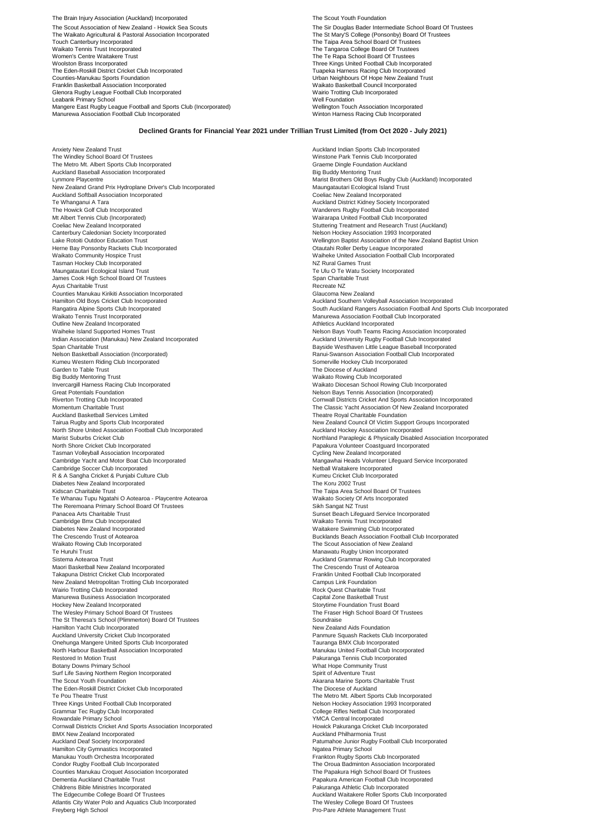The Brain Injury Association (Auckland) Incorporated The Scout Youth Foundation Changes and The Scout Youth Foundation The Scout Association of New Zealand - Howick Sea Scouts The Sir Douglas Bader Intermediate School Board Of Trustees<br>The Waikato Agricultural & Pastoral Association Incorporated The St Mary'S College (Ponsonby) Board Of Tr The St Markato Agricultural & Pastoral Association Incorporated The St Mary'S College (Ponsonby) Board Of Trustees<br>Touch Canterbury Incorporated Trustees Waikato Tennis Trust Incorporated The Tangaroa College Board Of Trustees<br>
Women's Centre Waitakere Trust<br>
The Te Rapa School Board Of Trustees Women's Centre Waitakere Trust<br>Woolston Brass Incorporated World The Text The Text Three Kings United Football Club Incorp Woolston Brass Incorporated Three Kings United Football Club Incorporated<br>The Eden-Roskill District Cricket Club Incorporated Three Kings United Football Club Incorporated<br>The Eden-Roskill District Cricket Club Incorporate The Eden-Roskill District Cricket Club Incorporated<br>Counties-Manukau Sports Foundation Tuapeka Harness Racing Club Incorporated Tuapeka Harness Racing Club Incorporated<br>Counties-Manukau Sports Foundation Franklin Basketball Association Incorporated Waikato Basketball Council Incorporated Glenora Rugby League Football Club Incorporated Wairio Trotting C<br>
Leabank Primary School Well Foundation Leabank Primary School<br>Mangere East Rugby League Football and Sports Club (Incorporated) Wellington Touch Association Incorporated Manurewa Association Football Club Incorporated Winton Harness Racing Club Incorporated

**Counting-Manusau Sports Foundation Neighbours Of Hope New Zealand Trust**<br>Waikato Basketball Council Incorporated

## **Declined Grants for Financial Year 2021 under Trillian Trust Limited (from Oct 2020 - July 2021)**

Anxiety New Zealand Trust Auckland Indian Sports Club Incorporated The Windley School Board Of Trustees<br>The Metro Mt. Albert Sports Club Incorporated Graeme Club Incorporated Graeme Dingle Foundation Auckland Graeme Auckland Baseball Association Incorporated and the United States of the Big Buddy Mentoring Trust<br>Auckland Baseball Association Incorporated Big Buddy Mentoring Trust<br>Lynmore Playcentre New Zealand Grand Prix Hydroplane Driver's Club Incorporated Auckland Softball Association Incorporated Coeliac New Zealand Incorporated Te Whanganui A Tara Auckland District Kidney Society Incorporated Mt Albert Tennis Club (Incorporated) <br>Coeliac New Zealand Incorporated Coeliac New Zealand Incorporated Coeliac New Zealand Incorporated Coeliac New Zealand Incorporated Coeliac New Zealand Incorporated (Stuttering Treatment and Research Trust (Auckland)<br>Canterbury Caledonian Society Incorporated (Stuttering Treatment and Research Trust (Auckland)<br>Nelson Hockey Association 1993 Incorporate Canterbury Caledonian Society Incorporated<br>Canterbury Caledonian Society Incorporated Nelson Hockey Association 1993 Incorporated<br>Lake Rotoiti Outdoor Education Trust Herne Bay Ponsonby Rackets Club Incorporated<br>Waikato Community Hospice Trust Tasman Hockey Club Incorporated Maungatautari Ecological Island Trust Te Ulu O Te Watu Society Incorporated James Cook High School Board Of Trustees Span Charitable Trust<br>Ayus Charitable Trust Span Charitable Trust Span Charitable Trust Ayus Charitable Trust<br>
Counties Manukau Kirikiti Association Incorporated<br>
Counties Manukau Kirikiti Association Incorporated<br>
Claucoma New Zealand Counties Manukau Kirikiti Association Incorporated Hamilton Old Boys Cricket Club Incorporated<br>
Rangatira Alpine Soorts Club Incorporated Auckland South Auckland South Auckland Southern Volleyball Association Football And Soc Outline New Zealand Incorporated Waiheke Island Supported Homes Trust Nelson Bays Youth Teams Racing Association Incorporated<br>
Indian Association (Manukau) New Zealand Incorporated Nelson Bays Auckland University Rugby Football Club Incorporated Indian Association (Manukau) New Zealand Incorporated<br>Span Charitable Trust Span Charitable Trust Bayside Westhaven Little League Baseball Incorporated<br>
Nelson Basketball Association (Incorporated)<br>
Nelson Basketball Association (Incorporated) Numeu Western Riding Club Incorporated<br>
Kumeu Western Riding Club Incorporated Somerville Hockey Club Incorporated Somerville Hockey Club Incorporated<br>
Sarden to Table Trust Garden to Table Trust<br>Big Buddy Mentoring Trust Big Buddy Mentoring Trust Chromated Chromated Chromated Invercences Chromated Invercences Marketo Rowing Club Incorporated Invercences Chromated Invercences Marketo Diocesan School Rowing Great Potentials Foundation<br>
Riverton Trotting Club Incorporated<br>
Riverton Trotting Club Incorporated<br>
Riverton Trotting Club Incorporated Riverton Trotting Club Incorporated **Cornwall Districts Cricket And Sports Association Incorporated**<br>Momentum Charitable Trust **Cornelistics Critics And Sports Association Of New Zealand Incorporated** Momentum Charitable Trust<br>
Auckland Basketball Services Limited<br>
Auckland Basketball Services Limited<br>
Theatre Royal Charitable Foundation Auckland Basketball Services Limited Theatre Royal Charitable Foundation<br>Tairua Rugby and Sports Club Incorporated Theatre Theatre Theatre Theatre Royal Charitable Touncil Of Victim Supp North Shore United Association Football Club Incorporated<br>Marist Suburbs Cricket Club North Shore Cricket Club Incorporated<br>Tasman Volleyball Association Incorporated National Papakura Volunteer Coastguard Incorporated Papakura Volunteer Coastguard Incorporated Tasman Volleyball Association Incorporated<br>Cambridge Yacht and Motor Boat Club Incorporated Cambridge Soccer Club Incorporated R & A Sangha Cricket & Punjabi Culture Club <br>Diabetes New Zealand Incorporated **Canadian Criticat Criticat** Chub Incorporated Cricket Club Incorporated Cricket Diabetes New Zealand Incorporated<br>Kidscan Charitable Trust Te Whanau Tupu Ngatahi O Aotearoa - Playcentre Aotearoa Markette Society Of Arts Incorporated<br>1991 - The Reremoana Primary School Board Of Trustees<br>1991 - Panacea Arts Charitable Trust Charles And Trustees Charles Banacea The Reremoana Primary School Board Of Trustees<br>Panacea Arts Charitable Trust Sunset Board Of Trustees Sunset Beach Lifeguard Service Incorporated Cambridge Bmx Club Incorporated Waikato Tennis Trust Incorporated The Crescendo Trust of Aotearoa **Bucklands Bucklands Beach Association Football Club Incorporated**<br>Maikato Rowing Club Incorporated **Bucklands Bucklands Bucklands Bucklands Bucklands Bucklands Beach Association of New Zeal** Waikato Rowing Club Incorporated<br>The Scout Association of New Zealand<br>Te Huruhi Trust Trust Associated The Incorporated The New Zealand The Scout Association of New Zealand Te Huruhi Trust Manawatu Rugby Union Incorporated Sistema Aotearoa Trust Auckland Grammar Rowing Club Incorporated Maori Basketball New Zealand Incorporated The Crescendo Trust of Aotearoa Takapuna District Cricket Club Incorporated **Franklin United Football Club Incorporated** Franklin United Football Club Incorporated Franklin United Football Club Incorporated **Franklin United Football Club Incorporated N** New Zealand Metropolitan Trotting Club Incorporated **Campus Link Foundation**<br>Wairio Trotting Club Incorporated Campus Link Foundation Champus Link Foundation Rock Quest Charitable Trust Wairio Trotting Club Incorporated Manurewa Business Association Incorporated<br>Manurewa Business Association Incorporated<br>Chapter Capital Communication Trust Board Hockey New Zealand Incorporated<br>
The Wesley Primary School Board Of Trustees<br>
The Fraser High School Board Of Trustees The Wesley Primary School Board Of Trustees<br>The St Theresa's School (Plimmerton) Board Of Trustees The School School School Board Of Trustees The St Theresa's School (Plimmerton) Board Of Trustees Soundraise Soundraise<br>The St Theresa's School (Plimmerton) Board Of Trustees Soundraise Soundraise Spendal Aids Foundation Hamilton Yacht Club Incorporated<br>Auckland University Cricket Club Incorporated Onehunga Mangere United Sports Club Incorporated North Harbour Basketball Association Incorporated Nanula and Theorem and Manukau United Football Club Incorporated<br>Restored In Motion Trust Restored In Motion Trust **Pakuranga Tennis Club Incorporated**<br>
Botany Downs Primary School **Pakuranga Tennis Club Incorporated**<br>
What Hope Community Trust Surf Life Saving Northern Region Incorporated Spirit of Adventure Trust The Scout Youth Foundation<br>
The Eden-Roskill District Cricket Club Incorporated<br>
The Diocese of Auckland The Eden-Roskill District Cricket Club Incorporated<br>Te Pou Theatre Trust Three Kings United Football Club Incorporated<br>Grammar Tec Rugby Club Incorporated Nelson Hockey Association 1993 Incorporated New York College Rifles Nethall Club Incorporated Grammar Tec Rugby Club Incorporated<br>Rowandale Primary School Netball Club Incorporated<br>Netball Incorporated The School Young Income of Netball Annual Media of Netball Incorporated Netball Club Incorporated Cornwall Districts Cricket And Sports Association Incorporated Howick Pakuranga Cricket Club Incorporated Howick Pakuranga Cricket Club Incorporated BMX New Zealand Incorporated **Auckland Philharmonia Trust Auckland Philharmonia Trust** Auckland Deaf Society Incorporated<br>
Hamilton City Gymnastics Incorporated<br>
Hamilton City Gymnastics Incorporated Hamilton City Gymnastics Incorporated<br>Manukau Youth Orchestra Incorporated Condor Rugby Football Club Incorporated Counties Manukau Croua Badminton Association Incorporated Counties Manukau Croquet Association Incorporated Counties Manukau Croquet Association Incorporated Counties Manukau Croquet Counties Manukau Croquet Association Incorporated<br>Dementia Auckland Charitable Trust Childrens Bible Ministries Incorporated The Edgecumbe College Board Of Trustees **Auckland Waitakere Roller Sports Club Incorporated**<br>Atlantis City Water Polo and Aquatics Club Incorporated **Auckland Waitakere Auckland Waitakere Rollege Board Of Trustees** Atlantis City Water Polo and Aquatics Club Incorporated<br>Freyberg High School

Lynumore Plays Rugby Club (Auckland) Incorporated<br>Maungatautari Ecological Island Trust Wanderers Rugby Football Club Incorporated Wellington Baptist Association of the New Zealand Baptist Union<br>Otautahi Roller Derby League Incorporated **Waikeke United Association Football Club Incorporated NZ Rural Games Trust** Rangatira Alpine Sports Club Incorporated South Auckland Rangers Association Football And Sports Club Incorporated<br>Waikato Tennis Trust Incorporated South Auckland Brand Rangers Association Football Club Incorporated Manurewa Association Football Club Incorporated<br>Athletics Auckland Incorporated Ranui-Swanson Association Football Club Incorporated<br>Somerville Hockey Club Incorporated Waikato Diocesan School Rowing Club Incorporated Tribuator Toylar Dramator Political Crossetter<br>
New Zealand Council Of Victim Support Groups Incorporated<br>
Auckland Hockey Association Incorporated Northland Paraplegic & Physically Disabled Association Incorporated Mangawhai Heads Volunteer Lifeguard Service Incorporated<br>Netball Waitakere Incorporated The Taipa Area School Board Of Trustees<br>Waikato Society Of Arts Incorporated Waitakere Swimming Club Incorporated Panmure Squash Rackets Club Incorporated<br>Tauranga BMX Club Incorporated **Botanis Primary School What Hope Community Trust** The Metro Mt. Albert Sports Club Incorporated Frankton Rugby Sports Club Incorporated Papakura American Football Club Incorporated<br>Pakuranga Athletic Club Incorporated Free Free Athlete Management Trust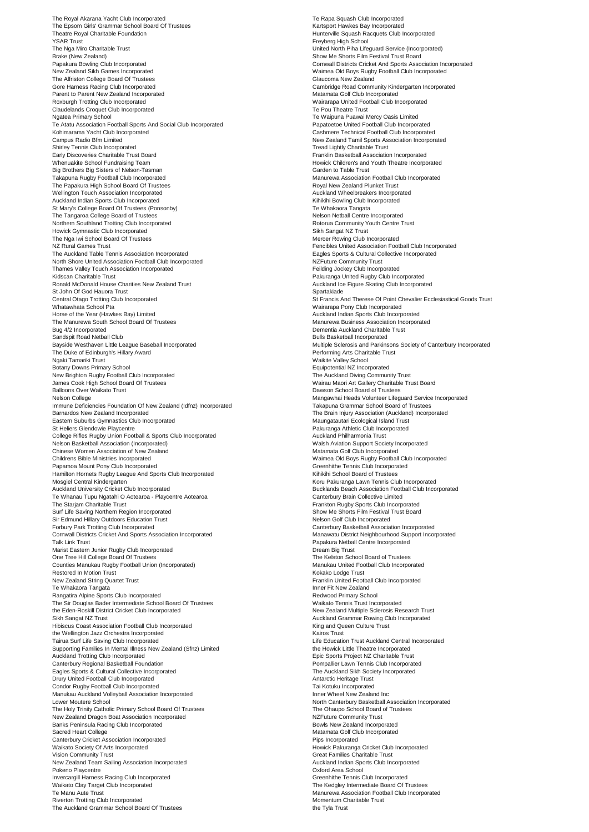The Royal Akarana Yacht Club Incorporated<br>The Epsom Girls' Grammar School Board Of Trustees Kartsport Hawkes Bay Incorporated The Epsom Girls' Grammar S Theatre Royal Charitable Foundation **Hunterville Squash Racquets Club Incorporated**<br>
Theatre Royal Charitable Foundation<br>
SCAR Trust YSAR Trust Freyberg High School Brake (New Zealand)<br>
Brake (New Zealand) Show Me Shorts Film Festival Trust Board<br>
Papakura Bowling Club Incorporated Communication of the Shorts Association of the Shorts Association of Papa Papakura Bowling Club Incorporated Cornwall Districts Cricket And Sports Association Incorporated Cornwall Districts Cricket And Sports Association Incorporated New Zealand Sikh Games Incorporated New Zealand Sikh Games In The Alfriston College Board Of Trustees<br>Gore Harness Racing Club Incorporated Parent to Parent New Zealand Incorporated<br>Roxburgh Trotting Club Incorporated Claudelands Croquet Club Incorporated Claudelands Croquet Club Incorporated Te Pou Theatre Trust<br>
Ngatea Primary School Claudelands Croquet Club Incorporated Te Waipuna Puawai N Te Atatu Association Football Sports And Social Club Incorporated<br>
Kohimarama Yacht Club Incorporated Campus Radio Bfm Limited<br>Chine Shirley Tennis Club Incorporated New Zealand Tamil Sports Association Incorporated<br>Chine Tread Lightly Charitable Trust Shirley Tennis Club Incorporated<br>Early Discoveries Charitable Trust Board Whenuakite School Fundraising Team Mexico and Theatre Incorporated<br>Big Brothers Big Sisters of Nelson-Tasman Mexico and Howick Children's Analysis Carden to Table Trust Big Brothers Big Sisters of Nelson-Tasman<br>Takapuna Rugby Football Club Incorporated The Papakura High School Board Of Trustees **Royal Accepts Accept Accepts** Royal New Zealand Plunket Trust<br>Wellington Touch Association Incomorated Wellington Touch Association Incorporated<br>Auckland Indian Sports Club Incorporated Australians and Auckland Wheelbreakers Incorporated<br>Al-Chinkini Bowling Club Incorporated Auckland Indian Sports Club Incorporated **Auckland Sports Club Incorporated** Kihikihi Bowling Club Incorporated Club Incorporated Club Incorporated Club Incorporated Club Incorporated Club Incorporated Club Incorporated Cl St Mary's College Board Of Trustees (Ponsonby) and the State of Trustees (Ponsonby) Te Whakaora Tangata<br>The Tangaroa College Board of Trustees (Ponsonby) and the State of Trustees (Polege Research Polege Roard of T The Tangaroa College Board of Trustees Northern Southland Trotting Club Incorporated and the South Centre Trust Rotorua Community Youth Centre Trust<br>Rothern Support Club Incorporated Rotorua Community Youth Club Club Club Canada Rotorua Community Youth Centre Howick Gymnastic Club Incorporated Sikh Sangat NZ Trust<br>
The Nga Iwi School Board Of Trustees<br>
Mercer Rowing Club Incorporated The Nga Iwi School Board Of Trustees<br>NZ Rural Games Trust NZ Rural Games Trust<br>
NZ Rural Games Trust Fencibles United Association Football Club Incorporated<br>
Fagles Sports & Cultural Collective Incorporated<br>
Fagles Sports & Cultural Collective Incorporated North Shore United Association Football Club Incorporated NZFuture Community Trust<br>
Thames Valley Touch Association Incorporated NATURE Thames Valley Touch Association Incorporated Feilding Jockey Club Incorporated Thames Valley Touch Association Incorporated<br>Kidscan Charitable Trust Kidscan Charitable Trust<br>
Ronald McDonald House Charities New Zealand Trust<br>
Ronald McDonald House Charities New Zealand Trust<br>
Pakuranga United Rugby Club Incorporated St John Of God Hauora Trust<br>Central Otago Trotting Club Incorporated Central Otago Trotting Club Incorporated **Strume Community Community**<br>
St Francis And Therese Of Point Chevalier Ecclesiastical Goods Trust<br>
Whatawhata School Pta Whatawhata School Pta<br>Horse of the Year (Hawkes Bay) Limited Auckland Indian Sports Club Incorporated Auckland Indian Sports Club Incorporated The Manurewa South School Board Of Trustees Manurewa Business Association Incorporated<br>
Bug 4/2 Incorporated<br>
Dementia Auckland Charitable Trust Bug 4/2 Incorporated Dementia Auckland Charitable Trust<br>
Sandspit Road Netball Club<br>
Dementia Auckland Charitable Trust Sandspit Road Netball Club<br>Buyside Westhaven Little League Baseball Incorporated<br>Bayside Westhaven Little League Baseball Incorporated<br>
Buyside Westhaven Little League Baseball Incorporated The Duke of Edinburgh's Hillary Award<br>Ngaki Tamariki Trust Botany Downs Primary School **Equipotential NZ Incorporated**<br>
New Brighton Rugby Football Club Incorporated **Accord Club Control Control Control Control Control Control Contro** New Brighton Rugby Football Club Incorporated<br>James Cook High School Board Of Trustees James Cook High School Board Of Trustees Wairau Maori Art Gallery Charitable Trust Board<br>1991 Balloons Over Waikato Trust Nelson College<br>Immune Deficiencies Foundation Of New Zealand (Idfnz) Incorporated Takapuna Grammar School Board of Trustees<br>Takapuna Grammar School Board of Trustees Barnardos New Zealand Incorporated **New Zealand Incorporated** The Brain Injury Association (Auckland) Incorporated<br>The Brain Injury Association (Auckland) Incorporated New York 2012 11:00 Maungatautari Ecological Island Tr Eastern Suburbs Gymnastics Club Incorporated<br>
St Heliers Glendowie Playcentre<br>
Pakuranga Athletic Club Incorporated St Heliers Glendowie Playcentre<br>College Rifles Rugby Union Football & Sports Club Incorporated<br>
Pakuranga Athletic Club Incorporated<br>
Auckland Philharmonia Trust College Rifles Rugby Union Football & Sports Club Incorporated<br>Nelson Basketball Association (Incorporated) Chinese Women Association of New Zealand<br>Childrens Bible Ministries Incorporated Papamoa Mount Pony Club Incorporated<br>Hamilton Hornets Rugby League And Sports Club Incorporated Greenhithe Tennis Club Incorporated Greenhithe Tennis Club Incorpor Hamilton Hornets Rugby League And Sports Club Incorporated<br>Mosgiel Central Kindergarten Mosgiel Central Kindergarten Cub Incorporated<br>Auckland University Cricket Club Incorporated Cub Incontroller Cub Incorporated Cub Incorporated Cub Incorporated Te Whanau Tupu Ngatahi O Aotearoa - Playcentre Aotearoa<br>Te Whanau Tupu Ngatahi O Aotearoa - Playcentre Aotearoa<br>The Starjam Charitable Trust Surf Life Saving Northern Region Incorporated National Show Me Show Me Show Me Shorts Film Festival Trust Board<br>Sir Edmund Hillary Outdoors Education Trust Forbury Park Trotting Club Incorporated<br>
Canterbury Basketball Association Incorporated Comwall District Neighbourhood Support Incorporated<br>
Comwall District Neighbourhood Support Incorporated Manawatu District Neighbourho Cornwall Districts Cricket And Sports Association Incorporated Talk Link Trust Papakura Netball Centre Incorporated Marist Eastern Junior Rugby Club Incorporated<br>
One Tree Hill College Board Of Trustees<br>
One Tree Hill College Board Of Trustees One Tree Hill College Board Of Trustees Counties Manukau Rugby Football Union (Incorporated) Manukau United Football Club Incorporated Restored In Motion Trust<br>New Zealand String Quartet Trust Franklin United Football Club Incorporated<br>New Zealand String Quartet Trust Te Whakaora Tangata Inner Fit New Zealand<br>Te Whakaora Tangata Rangatira Alpine Sports Club Incorporated **Redwood Primary School** Redwood Primary School The Sir Douglas Bader Intermediate School Board Of Trustees Waikato Tennis Trust Incorporated<br>
1991 the Eden-Roskill District Cricket Club Incorporated<br>
New Zealand Multiple Sclerosis Research Trust the Eden-Roskill District Cricket Club Incorporated<br>Sikh Sangat NZ Trust Hibiscus Coast Association Football Club Incorporated the Wellington Jazz Orchestra Incorporated **Active State Incorporated** Kairos Trust<br>
Tairua Surf Life Saving Club Incorporated **Active State Incorporated** Life Education Supporting Families In Mental Illness New Zealand (Sfnz) Limited Auckland Trotting Club Incorporated and the state of the state of the Sports Project Incorporated Exports Project NZ Charitable Trust<br>Canterbury Regional Basketball Foundation and the Sports Ports of the Sports Ports Portu Canterbury Regional Basketball Foundation **Propallier Lawn Tennis Club Incorporated** Pompallier Lawn Tennis Club Incorporated **Propallier Lawn Tennis Club Incorporated** Propallier Lawn Tennis Club Incorporated Propallier L Eagles Sports & Cultural Collective Incorporated The Auckland Sikh Society Incorporated The Auckland Sikh Society Incorporated The Auckland Sikh Society Incorporated The Auckland Sikh Society Incorporated The Auckland Sikh Drury United Football Club Incorporated Condor Rugby Football Club Incorporated Tai Kotuku Incorporated Manukau Auckland Volleyball Association Incorporated<br>Lower Moutere School The Holy Trinity Catholic Primary School Board Of Trustees New Zealand Dragon Boat Association Incorporated<br>Banks Peninsula Racing Club Incorporated National Research Community Trust National Bowls New Zealand Incorporated Sacred Heart College and College Care and College Matamata Golf Club Incorporated<br>
Canterbury Cricket Association Incorporated<br>
Canterbury Cricket Association Incorporated Canterbury Cricket Association Incorporated Waikato Society Of Arts Incorporated<br>Vision Community Trust Great Families Charitable Trust Great Families Charitable Trust (Wester Amilies Charitable Trust Amilies Charitable Trust Amilies Charitable Trust (Wester Amilies New Zealand Team Sailing Association Incorporated **Auckland Indian Sports Club Incorporated** Auckland Indian Sports Club Incorporated Pokeno Playcentre **Oxford Area School** Invercargill Harness Racing Club Incorporated<br>
Waikato Clay Target Club Incorporated Greenhithe Tennis Club Incorporated<br>
Club Incorporated Greenhithe Tennis Club Incorporated Greenhithe The Kedgley Intermediate Board Of 1 Waikato Clay Target Club Incorporated The Kedgley Intermediate Board Of Trustees<br>Te Manu Aute Trust Trustees The Incorporated The Kedgley Internet The Kedgley Intermediate Board Of Trustees Riverton Trotting Club Incorporated **Momentum Charitable Trust** Momentum Charitable Trust The Auckland Grammar School Board Of Trustees the Tyla Trust the Tyla Trust

United North Piha Lifeguard Service (Incorporated) Waimea Old Boys Rugby Football Club Incorporated<br>Glaucoma New Zealand Cambridge Road Community Kindergarten Incorporated<br>Matamata Golf Club Incorporated Wairarapa United Football Club Incorporated Te Waipuna Puawai Mercy Oasis Limited<br>Papatoetoe United Football Club Incorporated Cashmere Technical Football Club Incorporated Franklin Basketball Association Incorporated Manurewa Association Football Club Incorporated<br>Royal New Zealand Plunket Trust Eagles Sports & Cultural Collective Incorporated<br>NZFuture Community Trust Auckland Ice Figure Skating Club Incorporated<br>Spartakiade Bayside Westhaven Little Headule and Parkinsons Society of Canterbury Incorporated<br>Performing Arts Charitable Trust Waikite Valley School<br>Equipotential NZ Incorporated Dawson School Board of Trustees Walsh Aviation Support Society Incorporated Childrens Bible Ministries Incorporated<br>
Matamata Golf Club Incorporated<br>
Childrens Bible Waimea Old Boys Rugby Football Club Incorporated<br>
Greenhithe Tennis Club Incorporated Bucklands Beach Association Football Club Incorporated<br>Canterbury Brain Collective Limited Frankton Rugby Sports Club Incorporated<br>Show Me Shorts Film Festival Trust Board Auckland Grammar Rowing Club Incorporated<br>King and Queen Culture Trust Life Education Trust Auckland Central Incorporated<br>the Howick Little Theatre Incorporated North Canterbury Basketball Association Incorporated<br>The Ohaupo School Board of Trustees Manurewa Association Football Club Incorporated